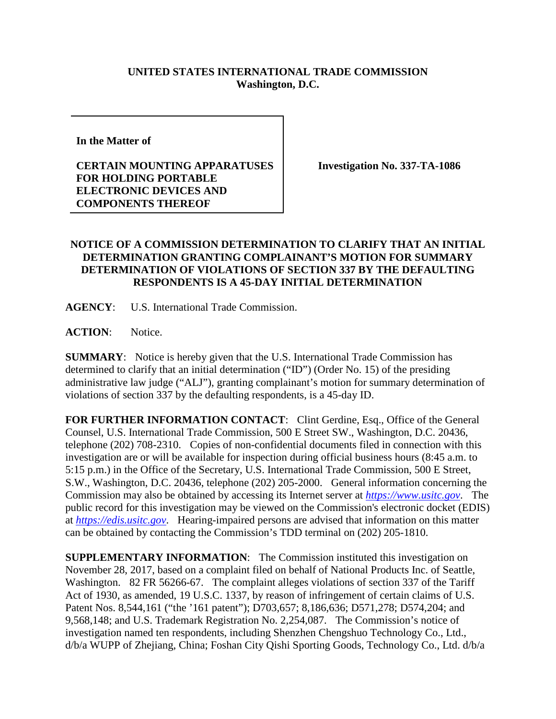## **UNITED STATES INTERNATIONAL TRADE COMMISSION Washington, D.C.**

**In the Matter of** 

## **CERTAIN MOUNTING APPARATUSES FOR HOLDING PORTABLE ELECTRONIC DEVICES AND COMPONENTS THEREOF**

**Investigation No. 337-TA-1086**

## **NOTICE OF A COMMISSION DETERMINATION TO CLARIFY THAT AN INITIAL DETERMINATION GRANTING COMPLAINANT'S MOTION FOR SUMMARY DETERMINATION OF VIOLATIONS OF SECTION 337 BY THE DEFAULTING RESPONDENTS IS A 45-DAY INITIAL DETERMINATION**

**AGENCY**: U.S. International Trade Commission.

**ACTION**: Notice.

**SUMMARY**: Notice is hereby given that the U.S. International Trade Commission has determined to clarify that an initial determination ("ID") (Order No. 15) of the presiding administrative law judge ("ALJ"), granting complainant's motion for summary determination of violations of section 337 by the defaulting respondents, is a 45-day ID.

FOR FURTHER INFORMATION CONTACT: Clint Gerdine, Esq., Office of the General Counsel, U.S. International Trade Commission, 500 E Street SW., Washington, D.C. 20436, telephone (202) 708-2310. Copies of non-confidential documents filed in connection with this investigation are or will be available for inspection during official business hours (8:45 a.m. to 5:15 p.m.) in the Office of the Secretary, U.S. International Trade Commission, 500 E Street, S.W., Washington, D.C. 20436, telephone (202) 205-2000. General information concerning the Commission may also be obtained by accessing its Internet server at *[https://www.usitc.gov](https://www.usitc.gov/)*. The public record for this investigation may be viewed on the Commission's electronic docket (EDIS) at *[https://edis.usitc.gov](https://edis.usitc.gov/)*. Hearing-impaired persons are advised that information on this matter can be obtained by contacting the Commission's TDD terminal on (202) 205-1810.

**SUPPLEMENTARY INFORMATION:** The Commission instituted this investigation on November 28, 2017, based on a complaint filed on behalf of National Products Inc. of Seattle, Washington. 82 FR 56266-67. The complaint alleges violations of section 337 of the Tariff Act of 1930, as amended, 19 U.S.C. 1337, by reason of infringement of certain claims of U.S. Patent Nos. 8,544,161 ("the '161 patent"); D703,657; 8,186,636; D571,278; D574,204; and 9,568,148; and U.S. Trademark Registration No. 2,254,087. The Commission's notice of investigation named ten respondents, including Shenzhen Chengshuo Technology Co., Ltd., d/b/a WUPP of Zhejiang, China; Foshan City Qishi Sporting Goods, Technology Co., Ltd. d/b/a